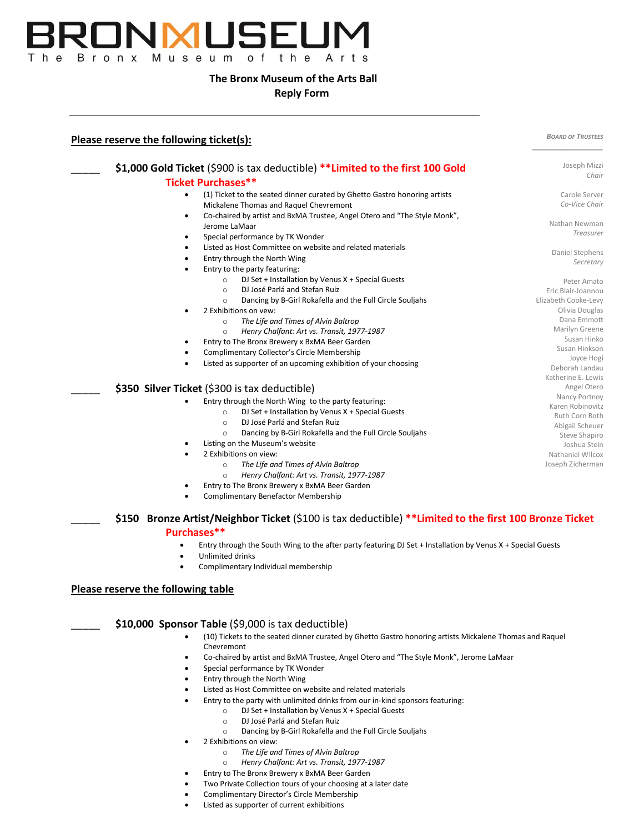

## **The Bronx Museum of the Arts Ball**

## **Reply Form**

| Please reserve the following ticket(s): |                                                                                                                                                                                                                                      | <b>BOARD OF TRUSTEES</b>         |
|-----------------------------------------|--------------------------------------------------------------------------------------------------------------------------------------------------------------------------------------------------------------------------------------|----------------------------------|
|                                         | \$1,000 Gold Ticket (\$900 is tax deductible) **Limited to the first 100 Gold                                                                                                                                                        | Joseph Mizzi                     |
|                                         | <b>Ticket Purchases**</b>                                                                                                                                                                                                            | Chair                            |
| $\bullet$                               |                                                                                                                                                                                                                                      | Carole Server                    |
|                                         | (1) Ticket to the seated dinner curated by Ghetto Gastro honoring artists<br>Mickalene Thomas and Raquel Chevremont                                                                                                                  | Co-Vice Chair                    |
| ٠                                       | Co-chaired by artist and BxMA Trustee, Angel Otero and "The Style Monk",                                                                                                                                                             |                                  |
|                                         | Jerome LaMaar                                                                                                                                                                                                                        | Nathan Newman                    |
| $\bullet$                               | Special performance by TK Wonder                                                                                                                                                                                                     | Treasurer                        |
| ٠                                       | Listed as Host Committee on website and related materials                                                                                                                                                                            |                                  |
| $\bullet$                               | Entry through the North Wing                                                                                                                                                                                                         | Daniel Stephens                  |
|                                         | Entry to the party featuring:                                                                                                                                                                                                        | Secretary                        |
|                                         | DJ Set + Installation by Venus X + Special Guests<br>$\circ$                                                                                                                                                                         | Peter Amato                      |
|                                         | DJ José Parlá and Stefan Ruiz<br>$\circ$                                                                                                                                                                                             | Eric Blair-Joannou               |
|                                         | Dancing by B-Girl Rokafella and the Full Circle Souljahs<br>$\circ$                                                                                                                                                                  | Elizabeth Cooke-Levy             |
|                                         | 2 Exhibitions on vew:                                                                                                                                                                                                                | Olivia Douglas                   |
|                                         | The Life and Times of Alvin Baltrop<br>$\circ$                                                                                                                                                                                       | Dana Emmott                      |
|                                         | Henry Chalfant: Art vs. Transit, 1977-1987<br>$\circ$                                                                                                                                                                                | Marilyn Greene                   |
|                                         | Entry to The Bronx Brewery x BxMA Beer Garden                                                                                                                                                                                        | Susan Hinko                      |
| $\bullet$                               | Complimentary Collector's Circle Membership                                                                                                                                                                                          | Susan Hinkson<br>Joyce Hogi      |
|                                         | Listed as supporter of an upcoming exhibition of your choosing                                                                                                                                                                       | Deborah Landau                   |
|                                         |                                                                                                                                                                                                                                      | Katherine E. Lewis               |
|                                         | \$350 Silver Ticket (\$300 is tax deductible)                                                                                                                                                                                        | Angel Otero                      |
|                                         | Entry through the North Wing to the party featuring:                                                                                                                                                                                 | Nancy Portnoy                    |
|                                         | DJ Set + Installation by Venus X + Special Guests<br>$\circ$                                                                                                                                                                         | Karen Robinovitz                 |
|                                         | DJ José Parlá and Stefan Ruiz<br>$\circ$                                                                                                                                                                                             | Ruth Corn Roth                   |
|                                         | Dancing by B-Girl Rokafella and the Full Circle Souljahs<br>$\circ$                                                                                                                                                                  | Abigail Scheuer<br>Steve Shapiro |
|                                         | Listing on the Museum's website                                                                                                                                                                                                      | Joshua Stein                     |
| $\bullet$                               | 2 Exhibitions on view:                                                                                                                                                                                                               | Nathaniel Wilcox                 |
|                                         | The Life and Times of Alvin Baltrop<br>$\circ$                                                                                                                                                                                       | Joseph Zicherman                 |
|                                         | Henry Chalfant: Art vs. Transit, 1977-1987<br>$\circ$                                                                                                                                                                                |                                  |
|                                         | Entry to The Bronx Brewery x BxMA Beer Garden                                                                                                                                                                                        |                                  |
|                                         | <b>Complimentary Benefactor Membership</b>                                                                                                                                                                                           |                                  |
| ٠                                       | \$150 Bronze Artist/Neighbor Ticket (\$100 is tax deductible) **Limited to the first 100 Bronze Ticket<br>Purchases**<br>Entry through the South Wing to the after party featuring DJ Set + Installation by Venus X + Special Guests |                                  |
|                                         | Unlimited drinks<br>Complimentary Individual membership                                                                                                                                                                              |                                  |
| Please reserve the following table      |                                                                                                                                                                                                                                      |                                  |
|                                         | \$10,000 Sponsor Table (\$9,000 is tax deductible)                                                                                                                                                                                   |                                  |
| ٠                                       | (10) Tickets to the seated dinner curated by Ghetto Gastro honoring artists Mickalene Thomas and Raquel<br>Chevremont                                                                                                                |                                  |
|                                         | Co-chaired by artist and BxMA Trustee, Angel Otero and "The Style Monk", Jerome LaMaar                                                                                                                                               |                                  |
| $\bullet$                               | Special performance by TK Wonder                                                                                                                                                                                                     |                                  |
| ٠                                       | Entry through the North Wing                                                                                                                                                                                                         |                                  |
|                                         | Listed as Host Committee on website and related materials                                                                                                                                                                            |                                  |
|                                         |                                                                                                                                                                                                                                      |                                  |

- Entry to the party with unlimited drinks from our in-kind sponsors featuring:
	- o DJ Set + Installation by Venus X + Special Guests
	- o DJ José Parlá and Stefan Ruiz
	- o Dancing by B-Girl Rokafella and the Full Circle Souljahs
- 2 Exhibitions on view:
	- o *The Life and Times of Alvin Baltrop*
	- o *Henry Chalfant: Art vs. Transit, 1977-1987*
- Entry to The Bronx Brewery x BxMA Beer Garden
	- Two Private Collection tours of your choosing at a later date
- Complimentary Director's Circle Membership
- Listed as supporter of current exhibitions